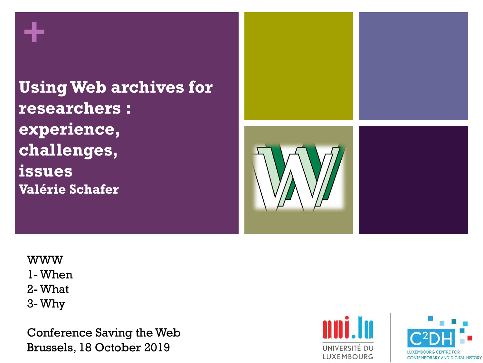**+**

**UsingWeb archives for researchers : experience, challenges, issues Valérie Schafer**



WWW 1- When 2- What 3- Why

Conference Saving the Web Brussels, 18 October 2019



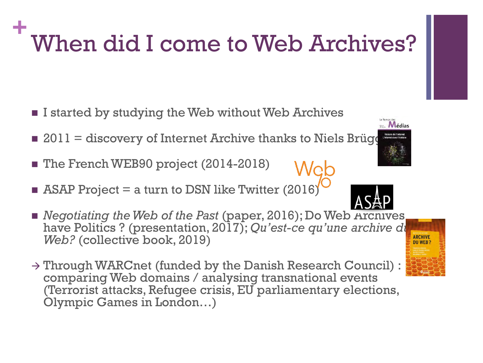## **+** When did I come to Web Archives?

- **I** istarted by studying the Web without Web Archives
- $\blacksquare$  2011 = discovery of Internet Archive thanks to Niels Brügg
- The French WEB90 project (2014-2018)
- $\blacksquare$  ASAP Project = a turn to DSN like Twitter (2016)
- *Negotiating the Web of the Past* (paper, 2016); Do Web Archives have Politics ? (presentation, 2017); *Qu'est-ce qu'une archive du Web?* (collective book, 2019)
- $\rightarrow$  Through WARCnet (funded by the Danish Research Council) : comparing Web domains / analysing transnational events (Terrorist attacks, Refugee crisis, EU parliamentary elections, Olympic Games in London…)





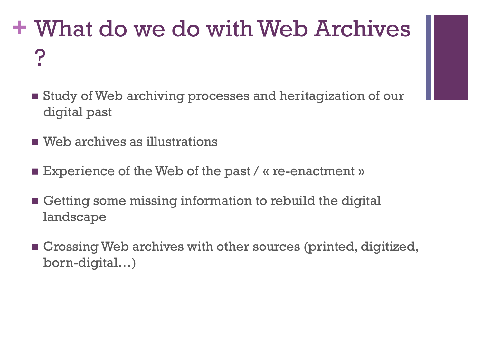# **+** What do we do with Web Archives ?

- Study of Web archiving processes and heritagization of our digital past
- Web archives as illustrations
- **Experience of the Web of the past / « re-enactment »**
- Getting some missing information to rebuild the digital landscape
- Crossing Web archives with other sources (printed, digitized, born-digital…)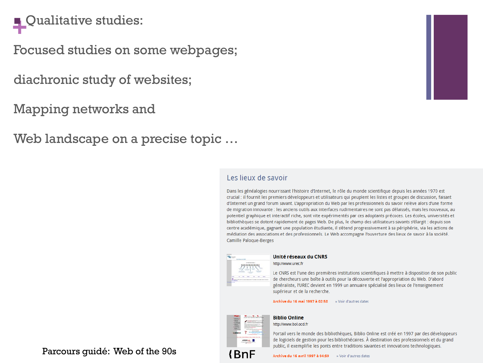## **Qualitative studies:**

Focused studies on some webpages;

diachronic study of websites;

Mapping networks and

Web landscape on a precise topic ...

### Les lieux de savoir

Dans les généalogies nourrissant l'histoire d'Internet, le rôle du monde scientifique depuis les années 1970 est crucial : il fournit les premiers développeurs et utilisateurs qui peuplent les listes et groupes de discussion, faisant d'Internet un grand forum savant. L'appropriation du Web par les professionnels du savoir relève alors d'une forme de migration innovante : les anciens outils aux interfaces rudimentaires ne sont pas délaissés, mais les nouveaux, au potentiel graphique et interactif riche, sont vite expérimentés par ces adoptants précoces. Les écoles, universités et bibliothèques se dotent rapidement de pages Web. De plus, le champ des utilisateurs savants s'élargit : depuis son centre académique, gagnant une population étudiante, il s'étend progressivement à sa périphérie, via les actions de médiation des associations et des professionnels. Le Web accompagne l'ouverture des lieux de savoir à la société. Camille Paloque-Berges



#### Unité réseaux du CNRS

http://www.urec.fr

Le CNRS est l'une des premières institutions scientifiques à mettre à disposition de son public de chercheurs une boîte à outils pour la découverte et l'appropriation du Web. D'abord généraliste, l'UREC devient en 1999 un annuaire spécialisé des lieux de l'enseignement supérieur et de la recherche.

#### Archive du 16 mai 1997 à 02:58 » Voir d'autres dates



**Biblio Online** 

http://www.bol.ocd.fr

Portail vers le monde des bibliothèques, Biblio Online est créé en 1997 par des développeurs de logiciels de gestion pour les bibliothécaires. À destination des professionnels et du grand public, il exemplifie les ponts entre traditions savantes et innovations technologiques.

Archive du 16 avril 1997 à 04:59 » Voir d'autres dates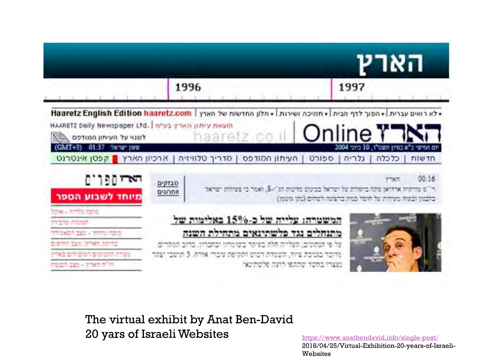

The virtual exhibit by Anat Ben-David 20 yars of IsraeliWebsites

<https://www.anatbendavid.info/single-post/> 2018/04/25/Virtual-Exhibition-20-years-of-Israeli-Websites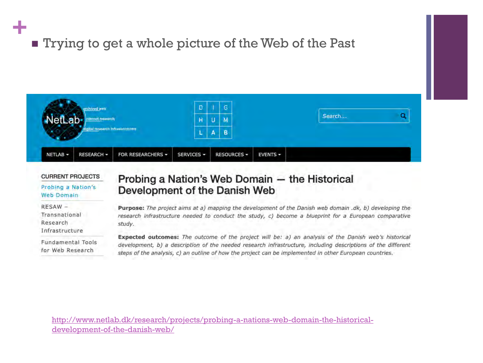# **+**

## **Trying to get a whole picture of the Web of the Past**



#### **CURRENT PROJECTS**

Probing a Nation's **Web Domain** 

RESAW-Transnational Research Infrastructure

Fundamental Tools for Web Research

### Probing a Nation's Web Domain - the Historical Development of the Danish Web

Purpose: The project aims at a) mapping the development of the Danish web domain .dk, b) developing the research infrastructure needed to conduct the study, c) become a blueprint for a European comparative study.

Expected outcomes: The outcome of the project will be: a) an analysis of the Danish web's historical development, b) a description of the needed research infrastructure, including descriptions of the different steps of the analysis, c) an outline of how the project can be implemented in other European countries.

[http://www.netlab.dk/research/projects/probing-a-nations-web-domain-the-historical](http://www.netlab.dk/research/projects/probing-a-nations-web-domain-the-historical-development-of-the-danish-web/)development-of-the-danish-web/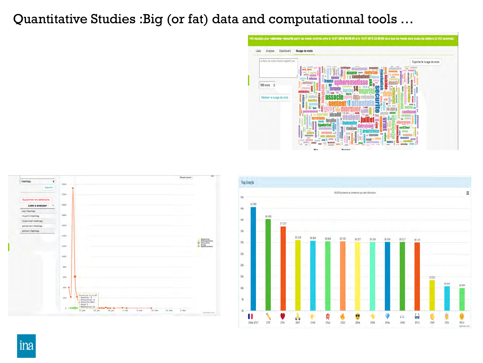### Quantitative Studies :Big (or fat) data and computationnal tools …







ina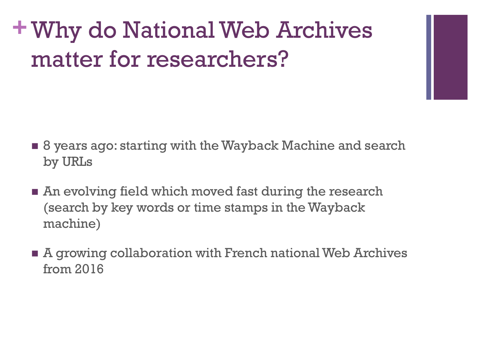# **+**Why do National Web Archives matter for researchers?

- 8 years ago: starting with the Wayback Machine and search by URLs
- An evolving field which moved fast during the research (search by key words or time stamps in the Wayback machine)
- A growing collaboration with French national Web Archives from 2016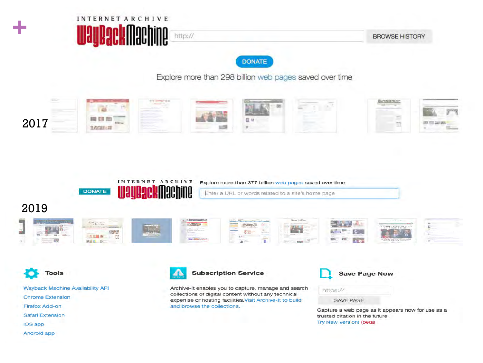| INTERNET ARCHIVE      |         |
|-----------------------|---------|
| <b>WayBackMachine</b> | http:// |

**BROWSE HISTORY** 

**DONATE** 

Explore more than 298 billion web pages saved over time





West Correction

图表显示

**BEE B** 

Explore more than 377 billion web pages saved over time

Enter a URL or words related to a site's home page

 $2000$ 

**RILL** 

### 2019















**Tools** 

Wayback Machine Availability API **Chrome Extension Firefox Add-on Safari Extension** iOS app Android app



### **Subscription Service**

Archive-It enables you to capture, manage and search collections of digital content without any technical expertise or hosting facilities. Visit Archive-It to build and browse the collections.

**Save Page Now** 

SAVE PAGE

https://

Capture a web page as it appears now for use as a trusted citation in the future. Try New Version! (beta)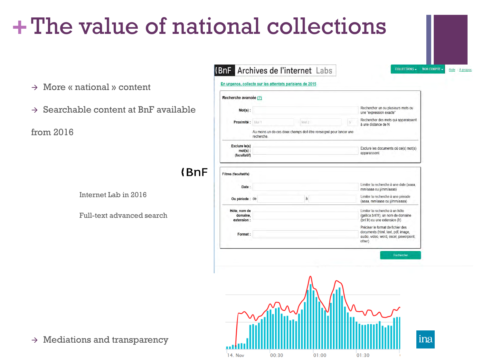# **+**The value of national collections

**(BnF** 

En urgence, collecte sur les attentats parisiens de 2015 Recherche avancée (?) Rechercher un ou plusieurs mots ou  $Mot(s)$ : une "expression exacte" Rechercher des mots qui apparaissent Proximité : Mot 1 Mot 2 à une distance de N Au moins un de ces deux champs doit être renseigné pour lancer une recherche. Exclure le(s) Exclure les documents où ce(s) mot(s)  $mot(s)$ : apparaissent (facultatif)  $(BnF)$ Filtres (facultatifs) Limiter la recherche à une date (aaaa, Date: mm/aaaa ou jj/mm/aaaa) Limiter la recherche à une période Ou période : de à (aaaa, mm/aaaa ou jj/mm/aaaa) Hôte, nom de Limiter la recherche à un hôte domaine, (gallica.bnf.fr), un nom de domaine extension: (bnf.fr) ou une extension (fr) Préciser le format de fichier des documents (html, text, pdf, image, Format: audio, video, word, excel, powerpoint, other) Rechercher

COLLECTIONS - MON COMPTE -

Aide A propos

Archives de l'internet Labs



### $\rightarrow$  Mediations and transparency

- $\rightarrow$  More « national » content
- $\rightarrow$  Searchable content at BnF available

from 2016

Internet Lab in 2016

Full-text advanced search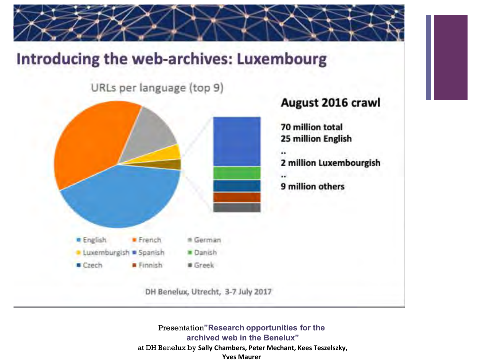

## Introducing the web-archives: Luxembourg

URLs per language (top 9)



Presentation**"Research opportunities for the archived web in the Benelux"** at DH Benelux by **Sally Chambers, Peter Mechant, Kees Teszelszky, Yves Maurer**